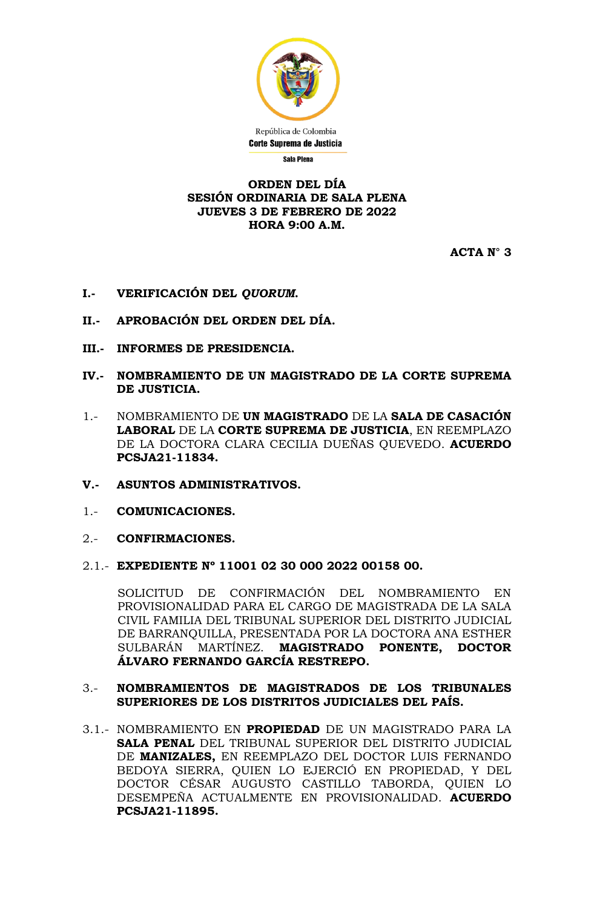

## **ORDEN DEL DÍA SESIÓN ORDINARIA DE SALA PLENA JUEVES 3 DE FEBRERO DE 2022 HORA 9:00 A.M.**

**ACTA N° 3**

- **I.- VERIFICACIÓN DEL** *QUORUM***.**
- **II.- APROBACIÓN DEL ORDEN DEL DÍA.**
- **III.- INFORMES DE PRESIDENCIA.**
- **IV.- NOMBRAMIENTO DE UN MAGISTRADO DE LA CORTE SUPREMA DE JUSTICIA.**
- 1.- NOMBRAMIENTO DE **UN MAGISTRADO** DE LA **SALA DE CASACIÓN LABORAL** DE LA **CORTE SUPREMA DE JUSTICIA**, EN REEMPLAZO DE LA DOCTORA CLARA CECILIA DUEÑAS QUEVEDO. **ACUERDO PCSJA21-11834.**
- **V.- ASUNTOS ADMINISTRATIVOS.**
- 1.- **COMUNICACIONES.**
- 2.- **CONFIRMACIONES.**
- 2.1.- **EXPEDIENTE Nº 11001 02 30 000 2022 00158 00.**

SOLICITUD DE CONFIRMACIÓN DEL NOMBRAMIENTO EN PROVISIONALIDAD PARA EL CARGO DE MAGISTRADA DE LA SALA CIVIL FAMILIA DEL TRIBUNAL SUPERIOR DEL DISTRITO JUDICIAL DE BARRANQUILLA, PRESENTADA POR LA DOCTORA ANA ESTHER SULBARÁN MARTÍNEZ. **MAGISTRADO PONENTE, DOCTOR ÁLVARO FERNANDO GARCÍA RESTREPO.**

## 3.- **NOMBRAMIENTOS DE MAGISTRADOS DE LOS TRIBUNALES SUPERIORES DE LOS DISTRITOS JUDICIALES DEL PAÍS.**

3.1.- NOMBRAMIENTO EN **PROPIEDAD** DE UN MAGISTRADO PARA LA **SALA PENAL** DEL TRIBUNAL SUPERIOR DEL DISTRITO JUDICIAL DE **MANIZALES,** EN REEMPLAZO DEL DOCTOR LUIS FERNANDO BEDOYA SIERRA, QUIEN LO EJERCIÓ EN PROPIEDAD, Y DEL DOCTOR CÉSAR AUGUSTO CASTILLO TABORDA, QUIEN LO DESEMPEÑA ACTUALMENTE EN PROVISIONALIDAD. **ACUERDO PCSJA21-11895.**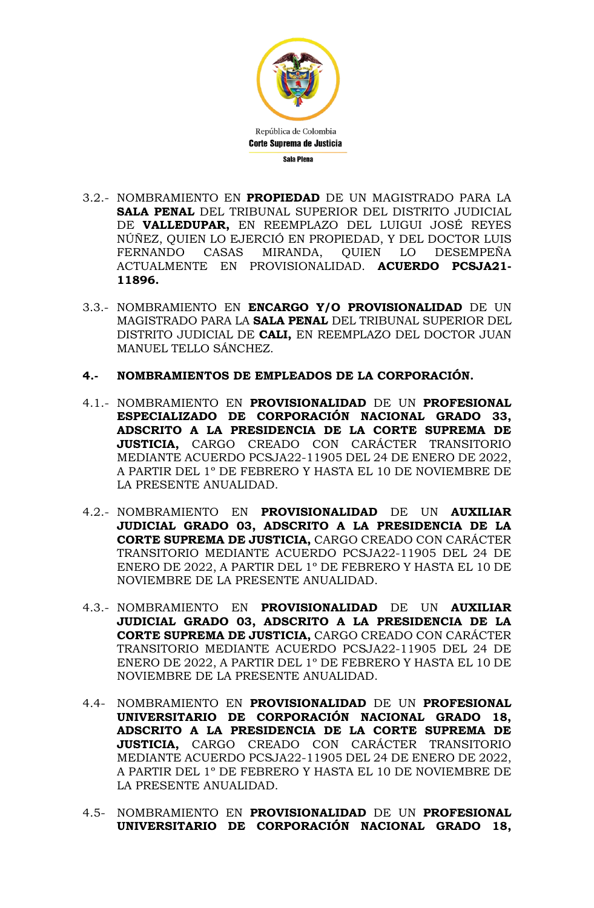

- 3.2.- NOMBRAMIENTO EN **PROPIEDAD** DE UN MAGISTRADO PARA LA **SALA PENAL** DEL TRIBUNAL SUPERIOR DEL DISTRITO JUDICIAL DE **VALLEDUPAR,** EN REEMPLAZO DEL LUIGUI JOSÉ REYES NÚÑEZ, QUIEN LO EJERCIÓ EN PROPIEDAD, Y DEL DOCTOR LUIS FERNANDO CASAS MIRANDA, QUIEN LO DESEMPEÑA ACTUALMENTE EN PROVISIONALIDAD. **ACUERDO PCSJA21- 11896.**
- 3.3.- NOMBRAMIENTO EN **ENCARGO Y/O PROVISIONALIDAD** DE UN MAGISTRADO PARA LA **SALA PENAL** DEL TRIBUNAL SUPERIOR DEL DISTRITO JUDICIAL DE **CALI,** EN REEMPLAZO DEL DOCTOR JUAN MANUEL TELLO SÁNCHEZ.
- **4.- NOMBRAMIENTOS DE EMPLEADOS DE LA CORPORACIÓN.**
- 4.1.- NOMBRAMIENTO EN **PROVISIONALIDAD** DE UN **PROFESIONAL ESPECIALIZADO DE CORPORACIÓN NACIONAL GRADO 33, ADSCRITO A LA PRESIDENCIA DE LA CORTE SUPREMA DE JUSTICIA,** CARGO CREADO CON CARÁCTER TRANSITORIO MEDIANTE ACUERDO PCSJA22-11905 DEL 24 DE ENERO DE 2022, A PARTIR DEL 1º DE FEBRERO Y HASTA EL 10 DE NOVIEMBRE DE LA PRESENTE ANUALIDAD.
- 4.2.- NOMBRAMIENTO EN **PROVISIONALIDAD** DE UN **AUXILIAR JUDICIAL GRADO 03, ADSCRITO A LA PRESIDENCIA DE LA CORTE SUPREMA DE JUSTICIA,** CARGO CREADO CON CARÁCTER TRANSITORIO MEDIANTE ACUERDO PCSJA22-11905 DEL 24 DE ENERO DE 2022, A PARTIR DEL 1º DE FEBRERO Y HASTA EL 10 DE NOVIEMBRE DE LA PRESENTE ANUALIDAD.
- 4.3.- NOMBRAMIENTO EN **PROVISIONALIDAD** DE UN **AUXILIAR JUDICIAL GRADO 03, ADSCRITO A LA PRESIDENCIA DE LA CORTE SUPREMA DE JUSTICIA,** CARGO CREADO CON CARÁCTER TRANSITORIO MEDIANTE ACUERDO PCSJA22-11905 DEL 24 DE ENERO DE 2022, A PARTIR DEL 1º DE FEBRERO Y HASTA EL 10 DE NOVIEMBRE DE LA PRESENTE ANUALIDAD.
- 4.4- NOMBRAMIENTO EN **PROVISIONALIDAD** DE UN **PROFESIONAL UNIVERSITARIO DE CORPORACIÓN NACIONAL GRADO 18, ADSCRITO A LA PRESIDENCIA DE LA CORTE SUPREMA DE JUSTICIA,** CARGO CREADO CON CARÁCTER TRANSITORIO MEDIANTE ACUERDO PCSJA22-11905 DEL 24 DE ENERO DE 2022, A PARTIR DEL 1º DE FEBRERO Y HASTA EL 10 DE NOVIEMBRE DE LA PRESENTE ANUALIDAD.
- 4.5- NOMBRAMIENTO EN **PROVISIONALIDAD** DE UN **PROFESIONAL UNIVERSITARIO DE CORPORACIÓN NACIONAL GRADO 18,**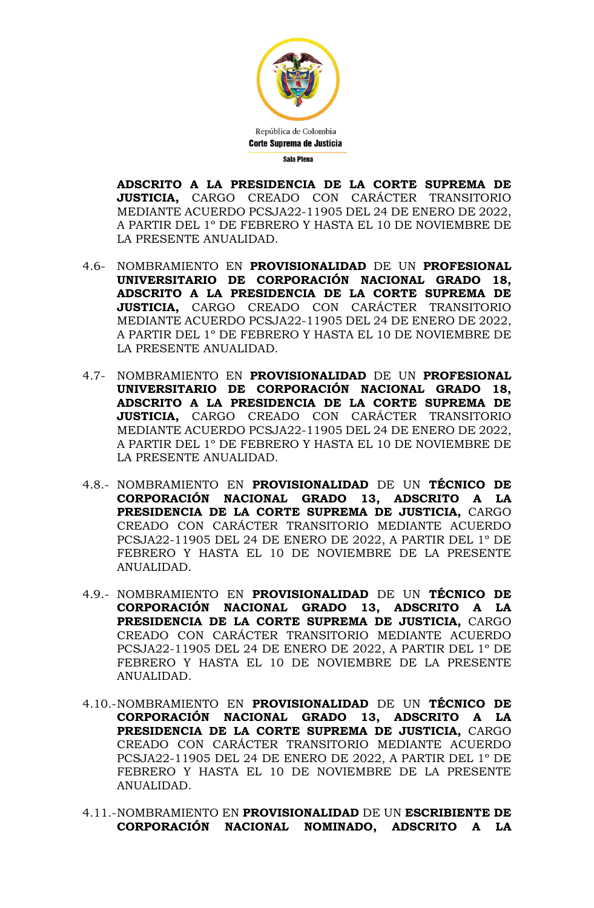

**ADSCRITO A LA PRESIDENCIA DE LA CORTE SUPREMA DE JUSTICIA,** CARGO CREADO CON CARÁCTER TRANSITORIO MEDIANTE ACUERDO PCSJA22-11905 DEL 24 DE ENERO DE 2022, A PARTIR DEL 1º DE FEBRERO Y HASTA EL 10 DE NOVIEMBRE DE LA PRESENTE ANUALIDAD.

- 4.6- NOMBRAMIENTO EN **PROVISIONALIDAD** DE UN **PROFESIONAL UNIVERSITARIO DE CORPORACIÓN NACIONAL GRADO 18, ADSCRITO A LA PRESIDENCIA DE LA CORTE SUPREMA DE JUSTICIA,** CARGO CREADO CON CARÁCTER TRANSITORIO MEDIANTE ACUERDO PCSJA22-11905 DEL 24 DE ENERO DE 2022, A PARTIR DEL 1º DE FEBRERO Y HASTA EL 10 DE NOVIEMBRE DE LA PRESENTE ANUALIDAD.
- 4.7- NOMBRAMIENTO EN **PROVISIONALIDAD** DE UN **PROFESIONAL UNIVERSITARIO DE CORPORACIÓN NACIONAL GRADO 18, ADSCRITO A LA PRESIDENCIA DE LA CORTE SUPREMA DE JUSTICIA,** CARGO CREADO CON CARÁCTER TRANSITORIO MEDIANTE ACUERDO PCSJA22-11905 DEL 24 DE ENERO DE 2022, A PARTIR DEL 1º DE FEBRERO Y HASTA EL 10 DE NOVIEMBRE DE LA PRESENTE ANUALIDAD.
- 4.8.- NOMBRAMIENTO EN **PROVISIONALIDAD** DE UN **TÉCNICO DE CORPORACIÓN NACIONAL GRADO 13, ADSCRITO A LA PRESIDENCIA DE LA CORTE SUPREMA DE JUSTICIA,** CARGO CREADO CON CARÁCTER TRANSITORIO MEDIANTE ACUERDO PCSJA22-11905 DEL 24 DE ENERO DE 2022, A PARTIR DEL 1º DE FEBRERO Y HASTA EL 10 DE NOVIEMBRE DE LA PRESENTE ANUALIDAD.
- 4.9.- NOMBRAMIENTO EN **PROVISIONALIDAD** DE UN **TÉCNICO DE CORPORACIÓN NACIONAL GRADO 13, ADSCRITO A LA PRESIDENCIA DE LA CORTE SUPREMA DE JUSTICIA,** CARGO CREADO CON CARÁCTER TRANSITORIO MEDIANTE ACUERDO PCSJA22-11905 DEL 24 DE ENERO DE 2022, A PARTIR DEL 1º DE FEBRERO Y HASTA EL 10 DE NOVIEMBRE DE LA PRESENTE ANUALIDAD.
- 4.10.-NOMBRAMIENTO EN **PROVISIONALIDAD** DE UN **TÉCNICO DE CORPORACIÓN NACIONAL GRADO 13, ADSCRITO A LA PRESIDENCIA DE LA CORTE SUPREMA DE JUSTICIA,** CARGO CREADO CON CARÁCTER TRANSITORIO MEDIANTE ACUERDO PCSJA22-11905 DEL 24 DE ENERO DE 2022, A PARTIR DEL 1º DE FEBRERO Y HASTA EL 10 DE NOVIEMBRE DE LA PRESENTE ANUALIDAD.
- 4.11.-NOMBRAMIENTO EN **PROVISIONALIDAD** DE UN **ESCRIBIENTE DE CORPORACIÓN NACIONAL NOMINADO, ADSCRITO A LA**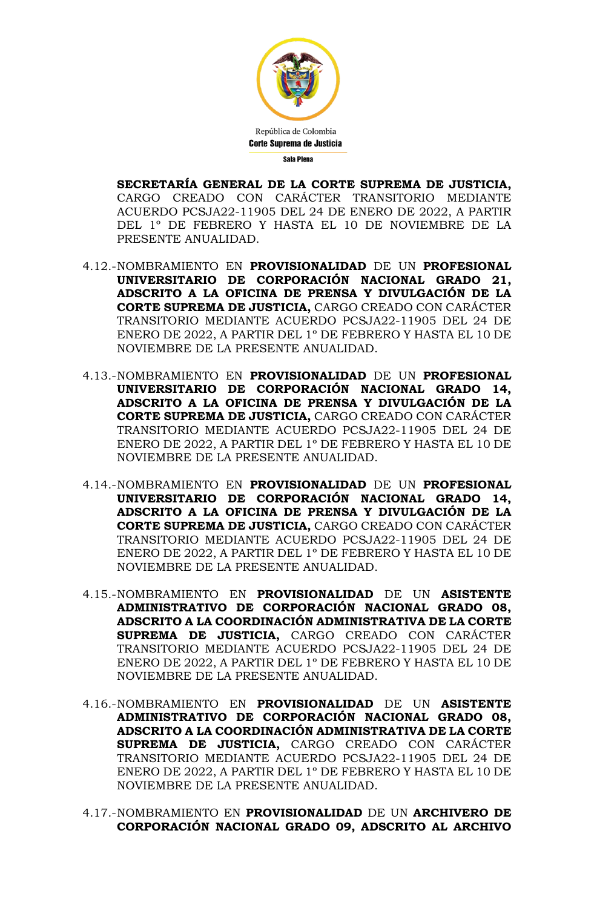

**SECRETARÍA GENERAL DE LA CORTE SUPREMA DE JUSTICIA,** CARGO CREADO CON CARÁCTER TRANSITORIO MEDIANTE ACUERDO PCSJA22-11905 DEL 24 DE ENERO DE 2022, A PARTIR DEL 1º DE FEBRERO Y HASTA EL 10 DE NOVIEMBRE DE LA PRESENTE ANUALIDAD.

- 4.12.-NOMBRAMIENTO EN **PROVISIONALIDAD** DE UN **PROFESIONAL UNIVERSITARIO DE CORPORACIÓN NACIONAL GRADO 21, ADSCRITO A LA OFICINA DE PRENSA Y DIVULGACIÓN DE LA CORTE SUPREMA DE JUSTICIA,** CARGO CREADO CON CARÁCTER TRANSITORIO MEDIANTE ACUERDO PCSJA22-11905 DEL 24 DE ENERO DE 2022, A PARTIR DEL 1º DE FEBRERO Y HASTA EL 10 DE NOVIEMBRE DE LA PRESENTE ANUALIDAD.
- 4.13.-NOMBRAMIENTO EN **PROVISIONALIDAD** DE UN **PROFESIONAL UNIVERSITARIO DE CORPORACIÓN NACIONAL GRADO 14, ADSCRITO A LA OFICINA DE PRENSA Y DIVULGACIÓN DE LA CORTE SUPREMA DE JUSTICIA,** CARGO CREADO CON CARÁCTER TRANSITORIO MEDIANTE ACUERDO PCSJA22-11905 DEL 24 DE ENERO DE 2022, A PARTIR DEL 1º DE FEBRERO Y HASTA EL 10 DE NOVIEMBRE DE LA PRESENTE ANUALIDAD.
- 4.14.-NOMBRAMIENTO EN **PROVISIONALIDAD** DE UN **PROFESIONAL UNIVERSITARIO DE CORPORACIÓN NACIONAL GRADO 14, ADSCRITO A LA OFICINA DE PRENSA Y DIVULGACIÓN DE LA CORTE SUPREMA DE JUSTICIA,** CARGO CREADO CON CARÁCTER TRANSITORIO MEDIANTE ACUERDO PCSJA22-11905 DEL 24 DE ENERO DE 2022, A PARTIR DEL 1º DE FEBRERO Y HASTA EL 10 DE NOVIEMBRE DE LA PRESENTE ANUALIDAD.
- 4.15.-NOMBRAMIENTO EN **PROVISIONALIDAD** DE UN **ASISTENTE ADMINISTRATIVO DE CORPORACIÓN NACIONAL GRADO 08, ADSCRITO A LA COORDINACIÓN ADMINISTRATIVA DE LA CORTE SUPREMA DE JUSTICIA,** CARGO CREADO CON CARÁCTER TRANSITORIO MEDIANTE ACUERDO PCSJA22-11905 DEL 24 DE ENERO DE 2022, A PARTIR DEL 1º DE FEBRERO Y HASTA EL 10 DE NOVIEMBRE DE LA PRESENTE ANUALIDAD.
- 4.16.-NOMBRAMIENTO EN **PROVISIONALIDAD** DE UN **ASISTENTE ADMINISTRATIVO DE CORPORACIÓN NACIONAL GRADO 08, ADSCRITO A LA COORDINACIÓN ADMINISTRATIVA DE LA CORTE SUPREMA DE JUSTICIA,** CARGO CREADO CON CARÁCTER TRANSITORIO MEDIANTE ACUERDO PCSJA22-11905 DEL 24 DE ENERO DE 2022, A PARTIR DEL 1º DE FEBRERO Y HASTA EL 10 DE NOVIEMBRE DE LA PRESENTE ANUALIDAD.
- 4.17.-NOMBRAMIENTO EN **PROVISIONALIDAD** DE UN **ARCHIVERO DE CORPORACIÓN NACIONAL GRADO 09, ADSCRITO AL ARCHIVO**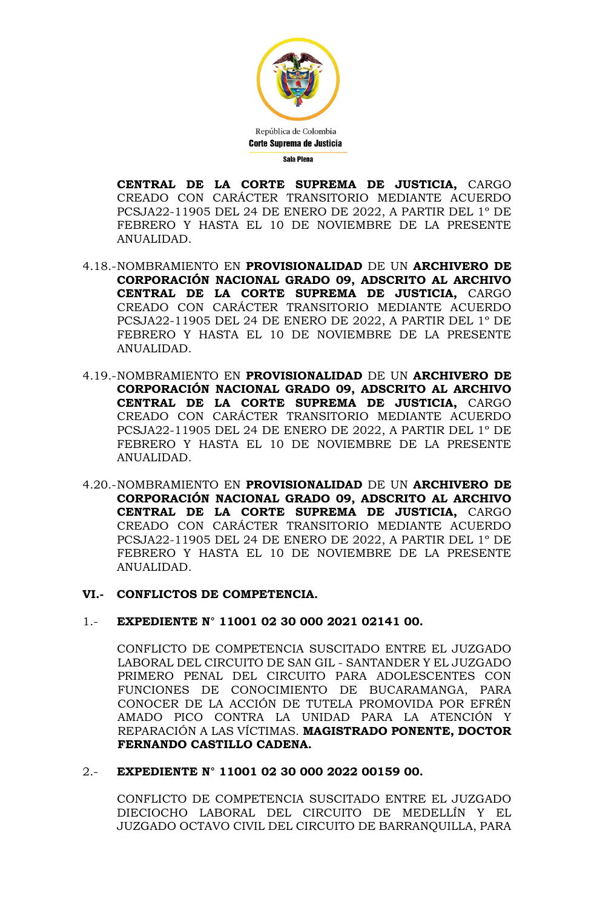

**CENTRAL DE LA CORTE SUPREMA DE JUSTICIA,** CARGO CREADO CON CARÁCTER TRANSITORIO MEDIANTE ACUERDO PCSJA22-11905 DEL 24 DE ENERO DE 2022, A PARTIR DEL 1º DE FEBRERO Y HASTA EL 10 DE NOVIEMBRE DE LA PRESENTE ANUALIDAD.

- 4.18.-NOMBRAMIENTO EN **PROVISIONALIDAD** DE UN **ARCHIVERO DE CORPORACIÓN NACIONAL GRADO 09, ADSCRITO AL ARCHIVO CENTRAL DE LA CORTE SUPREMA DE JUSTICIA,** CARGO CREADO CON CARÁCTER TRANSITORIO MEDIANTE ACUERDO PCSJA22-11905 DEL 24 DE ENERO DE 2022, A PARTIR DEL 1º DE FEBRERO Y HASTA EL 10 DE NOVIEMBRE DE LA PRESENTE ANUALIDAD.
- 4.19.-NOMBRAMIENTO EN **PROVISIONALIDAD** DE UN **ARCHIVERO DE CORPORACIÓN NACIONAL GRADO 09, ADSCRITO AL ARCHIVO CENTRAL DE LA CORTE SUPREMA DE JUSTICIA,** CARGO CREADO CON CARÁCTER TRANSITORIO MEDIANTE ACUERDO PCSJA22-11905 DEL 24 DE ENERO DE 2022, A PARTIR DEL 1º DE FEBRERO Y HASTA EL 10 DE NOVIEMBRE DE LA PRESENTE ANUALIDAD.
- 4.20.-NOMBRAMIENTO EN **PROVISIONALIDAD** DE UN **ARCHIVERO DE CORPORACIÓN NACIONAL GRADO 09, ADSCRITO AL ARCHIVO CENTRAL DE LA CORTE SUPREMA DE JUSTICIA,** CARGO CREADO CON CARÁCTER TRANSITORIO MEDIANTE ACUERDO PCSJA22-11905 DEL 24 DE ENERO DE 2022, A PARTIR DEL 1º DE FEBRERO Y HASTA EL 10 DE NOVIEMBRE DE LA PRESENTE ANUALIDAD.
- **VI.- CONFLICTOS DE COMPETENCIA.**
- 1.- **EXPEDIENTE N° 11001 02 30 000 2021 02141 00.**

CONFLICTO DE COMPETENCIA SUSCITADO ENTRE EL JUZGADO LABORAL DEL CIRCUITO DE SAN GIL - SANTANDER Y EL JUZGADO PRIMERO PENAL DEL CIRCUITO PARA ADOLESCENTES CON FUNCIONES DE CONOCIMIENTO DE BUCARAMANGA, PARA CONOCER DE LA ACCIÓN DE TUTELA PROMOVIDA POR EFRÉN AMADO PICO CONTRA LA UNIDAD PARA LA ATENCIÓN Y REPARACIÓN A LAS VÍCTIMAS. **MAGISTRADO PONENTE, DOCTOR FERNANDO CASTILLO CADENA.**

2.- **EXPEDIENTE N° 11001 02 30 000 2022 00159 00.**

CONFLICTO DE COMPETENCIA SUSCITADO ENTRE EL JUZGADO DIECIOCHO LABORAL DEL CIRCUITO DE MEDELLÍN Y EL JUZGADO OCTAVO CIVIL DEL CIRCUITO DE BARRANQUILLA, PARA